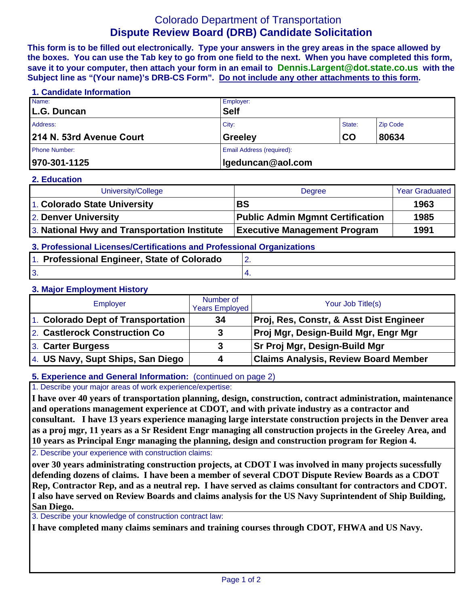# Colorado Department of Transportation **Dispute Review Board (DRB) Candidate Solicitation**

**This form is to be filled out electronically. Type your answers in the grey areas in the space allowed by the boxes. You can use the Tab key to go from one field to the next. When you have completed this form, save it to your computer, then attach your form in an email to Dennis.Largent@dot.state.co.us with the Subject line as "(Your name)'s DRB-CS Form". Do not include any other attachments to this form.**

#### **1. Candidate Information**

| Name:                    | Employer:                 |        |                 |
|--------------------------|---------------------------|--------|-----------------|
| L.G. Duncan              | <b>Self</b>               |        |                 |
| Address:                 | City:                     | State: | <b>Zip Code</b> |
| 214 N. 53rd Avenue Court | <b>Greeley</b>            | CO     | 80634           |
| <b>Phone Number:</b>     | Email Address (required): |        |                 |
| 970-301-1125             | Igeduncan@aol.com         |        |                 |

#### **2. Education**

| University/College                           | Degree                                  | <b>Year Graduated</b> |
|----------------------------------------------|-----------------------------------------|-----------------------|
| 1. Colorado State University                 | <b>BS</b>                               | 1963                  |
| 2. Denver University                         | <b>Public Admin Mgmnt Certification</b> | 1985                  |
| 3. National Hwy and Transportation Institute | <b>Executive Management Program</b>     | 1991                  |

## **3. Professional Licenses/Certifications and Professional Organizations**

| 1. Professional Engineer, State of Colorado |  |
|---------------------------------------------|--|
| <b>3</b>                                    |  |

### **3. Major Employment History**

| <b>Employer</b>                    | Number of<br><b>Years Employed</b> | Your Job Title(s)                           |
|------------------------------------|------------------------------------|---------------------------------------------|
| 1. Colorado Dept of Transportation | 34                                 | Proj, Res, Constr, & Asst Dist Engineer     |
| 2. Castlerock Construction Co.     |                                    | <b>Proj Mgr, Design-Build Mgr, Engr Mgr</b> |
| 3. Carter Burgess                  | 3                                  | <b>Sr Proj Mgr, Design-Build Mgr</b>        |
| 4. US Navy, Supt Ships, San Diego  |                                    | <b>Claims Analysis, Review Board Member</b> |

### **5. Experience and General Information:** (continued on page 2)

1. Describe your major areas of work experience/expertise:

**I have over 40 years of transportation planning, design, construction, contract administration, maintenance and operations management experience at CDOT, and with private industry as a contractor and consultant. I have 13 years experience managing large interstate construction projects in the Denver area as a proj mgr, 11 years as a Sr Resident Engr managing all construction projects in the Greeley Area, and 10 years as Principal Engr managing the planning, design and construction program for Region 4.**

2. Describe your experience with construction claims:

**over 30 years administrating construction projects, at CDOT I was involved in many projects sucessfully defending dozens of claims. I have been a member of several CDOT Dispute Review Boards as a CDOT Rep, Contractor Rep, and as a neutral rep. I have served as claims consultant for contractors and CDOT. I also have served on Review Boards and claims analysis for the US Navy Suprintendent of Ship Building, San Diego.** 

3. Describe your knowledge of construction contract law:

**I have completed many claims seminars and training courses through CDOT, FHWA and US Navy.**